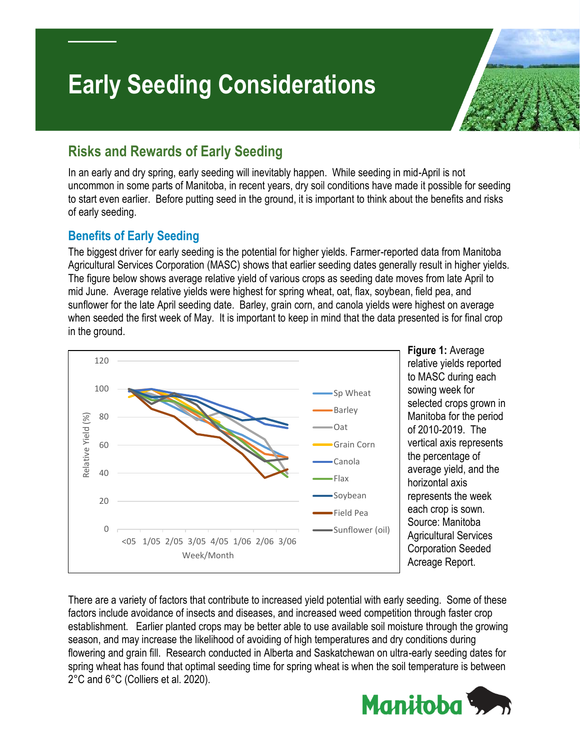# **Early Seeding Considerations**

## **Risks and Rewards of Early Seeding**

In an early and dry spring, early seeding will inevitably happen. While seeding in mid-April is not uncommon in some parts of Manitoba, in recent years, dry soil conditions have made it possible for seeding to start even earlier. Before putting seed in the ground, it is important to think about the benefits and risks of early seeding.

#### **Benefits of Early Seeding**

The biggest driver for early seeding is the potential for higher yields. Farmer-reported data from Manitoba Agricultural Services Corporation (MASC) shows that earlier seeding dates generally result in higher yields. The figure below shows average relative yield of various crops as seeding date moves from late April to mid June. Average relative yields were highest for spring wheat, oat, flax, soybean, field pea, and sunflower for the late April seeding date. Barley, grain corn, and canola yields were highest on average when seeded the first week of May. It is important to keep in mind that the data presented is for final crop in the ground.



**Figure 1:** Average relative yields reported to MASC during each sowing week for selected crops grown in Manitoba for the period of 2010-2019. The vertical axis represents the percentage of average yield, and the horizontal axis represents the week each crop is sown. Source: Manitoba Agricultural Services Corporation Seeded Acreage Report.

There are a variety of factors that contribute to increased yield potential with early seeding. Some of these factors include avoidance of insects and diseases, and increased weed competition through faster crop establishment. Earlier planted crops may be better able to use available soil moisture through the growing season, and may increase the likelihood of avoiding of high temperatures and dry conditions during flowering and grain fill. Research conducted in Alberta and Saskatchewan on ultra-early seeding dates for spring wheat has found that optimal seeding time for spring wheat is when the soil temperature is between 2°C and 6°C (Colliers et al. 2020).